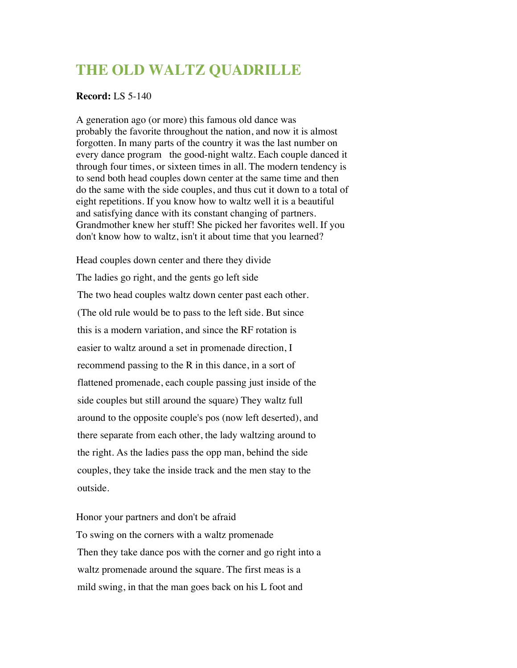## **THE OLD WALTZ QUADRILLE**

## **Record:** LS 5-140

A generation ago (or more) this famous old dance was probably the favorite throughout the nation, and now it is almost forgotten. In many parts of the country it was the last number on every dance program the good-night waltz. Each couple danced it through four times, or sixteen times in all. The modern tendency is to send both head couples down center at the same time and then do the same with the side couples, and thus cut it down to a total of eight repetitions. If you know how to waltz well it is a beautiful and satisfying dance with its constant changing of partners. Grandmother knew her stuff! She picked her favorites well. If you don't know how to waltz, isn't it about time that you learned?

Head couples down center and there they divide The ladies go right, and the gents go left side The two head couples waltz down center past each other. (The old rule would be to pass to the left side. But since this is a modern variation, and since the RF rotation is easier to waltz around a set in promenade direction, I recommend passing to the R in this dance, in a sort of flattened promenade, each couple passing just inside of the side couples but still around the square) They waltz full around to the opposite couple's pos (now left deserted), and there separate from each other, the lady waltzing around to the right. As the ladies pass the opp man, behind the side couples, they take the inside track and the men stay to the outside.

Honor your partners and don't be afraid To swing on the corners with a waltz promenade Then they take dance pos with the corner and go right into a waltz promenade around the square. The first meas is a mild swing, in that the man goes back on his L foot and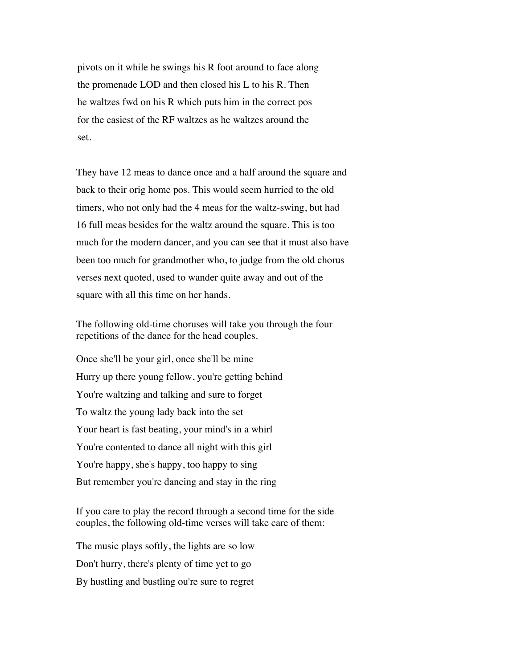pivots on it while he swings his R foot around to face along the promenade LOD and then closed his L to his R. Then he waltzes fwd on his R which puts him in the correct pos for the easiest of the RF waltzes as he waltzes around the set.

They have 12 meas to dance once and a half around the square and back to their orig home pos. This would seem hurried to the old timers, who not only had the 4 meas for the waltz-swing, but had 16 full meas besides for the waltz around the square. This is too much for the modern dancer, and you can see that it must also have been too much for grandmother who, to judge from the old chorus verses next quoted, used to wander quite away and out of the square with all this time on her hands.

The following old-time choruses will take you through the four repetitions of the dance for the head couples.

Once she'll be your girl, once she'll be mine Hurry up there young fellow, you're getting behind You're waltzing and talking and sure to forget To waltz the young lady back into the set Your heart is fast beating, your mind's in a whirl You're contented to dance all night with this girl You're happy, she's happy, too happy to sing But remember you're dancing and stay in the ring

If you care to play the record through a second time for the side couples, the following old-time verses will take care of them:

The music plays softly, the lights are so low Don't hurry, there's plenty of time yet to go By hustling and bustling ou're sure to regret